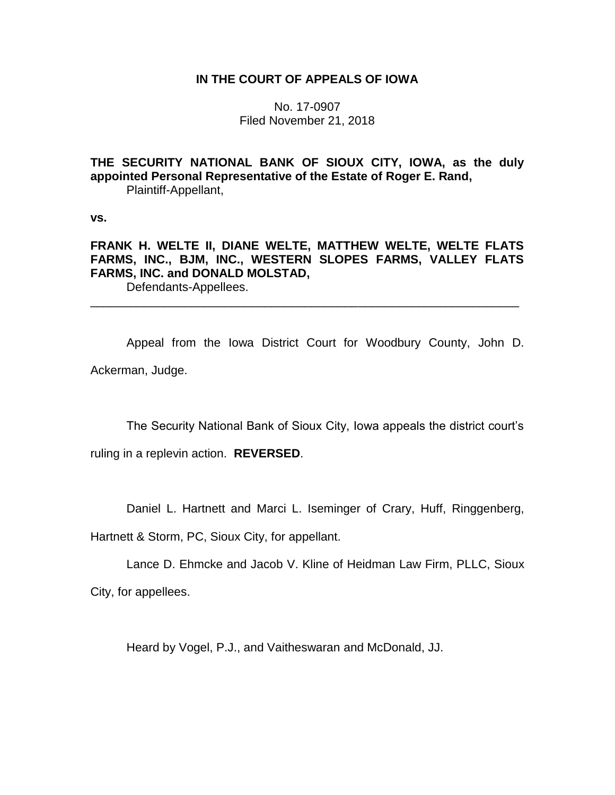# **IN THE COURT OF APPEALS OF IOWA**

No. 17-0907 Filed November 21, 2018

**THE SECURITY NATIONAL BANK OF SIOUX CITY, IOWA, as the duly appointed Personal Representative of the Estate of Roger E. Rand,** Plaintiff-Appellant,

**vs.**

**FRANK H. WELTE II, DIANE WELTE, MATTHEW WELTE, WELTE FLATS FARMS, INC., BJM, INC., WESTERN SLOPES FARMS, VALLEY FLATS FARMS, INC. and DONALD MOLSTAD,**

\_\_\_\_\_\_\_\_\_\_\_\_\_\_\_\_\_\_\_\_\_\_\_\_\_\_\_\_\_\_\_\_\_\_\_\_\_\_\_\_\_\_\_\_\_\_\_\_\_\_\_\_\_\_\_\_\_\_\_\_\_\_\_\_

Defendants-Appellees.

Appeal from the Iowa District Court for Woodbury County, John D. Ackerman, Judge.

The Security National Bank of Sioux City, Iowa appeals the district court's

ruling in a replevin action. **REVERSED**.

Daniel L. Hartnett and Marci L. Iseminger of Crary, Huff, Ringgenberg,

Hartnett & Storm, PC, Sioux City, for appellant.

Lance D. Ehmcke and Jacob V. Kline of Heidman Law Firm, PLLC, Sioux City, for appellees.

Heard by Vogel, P.J., and Vaitheswaran and McDonald, JJ.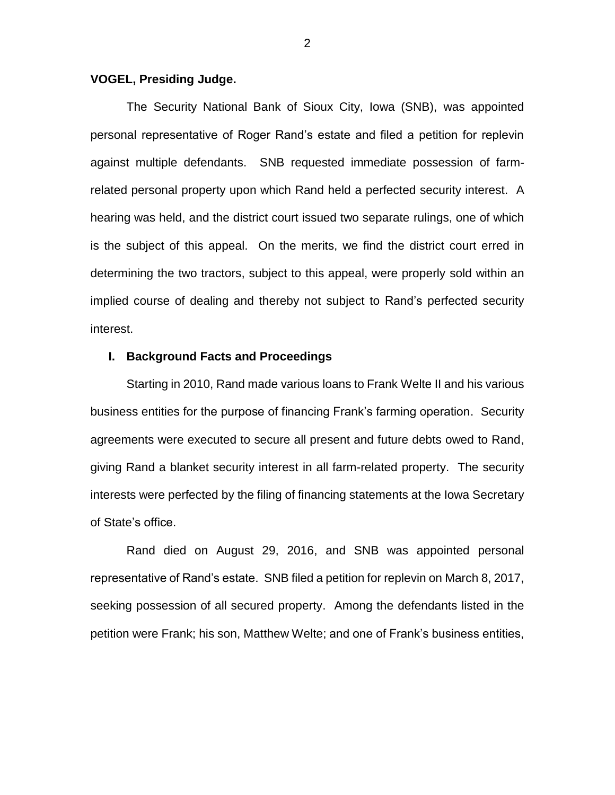### **VOGEL, Presiding Judge.**

The Security National Bank of Sioux City, Iowa (SNB), was appointed personal representative of Roger Rand's estate and filed a petition for replevin against multiple defendants. SNB requested immediate possession of farmrelated personal property upon which Rand held a perfected security interest. A hearing was held, and the district court issued two separate rulings, one of which is the subject of this appeal. On the merits, we find the district court erred in determining the two tractors, subject to this appeal, were properly sold within an implied course of dealing and thereby not subject to Rand's perfected security interest.

### **I. Background Facts and Proceedings**

Starting in 2010, Rand made various loans to Frank Welte II and his various business entities for the purpose of financing Frank's farming operation. Security agreements were executed to secure all present and future debts owed to Rand, giving Rand a blanket security interest in all farm-related property. The security interests were perfected by the filing of financing statements at the Iowa Secretary of State's office.

Rand died on August 29, 2016, and SNB was appointed personal representative of Rand's estate. SNB filed a petition for replevin on March 8, 2017, seeking possession of all secured property. Among the defendants listed in the petition were Frank; his son, Matthew Welte; and one of Frank's business entities,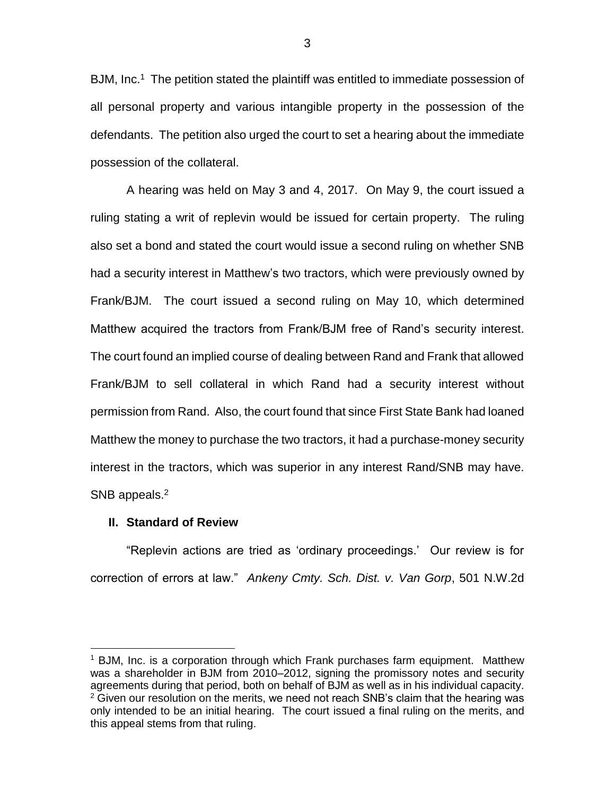BJM, Inc.<sup>1</sup> The petition stated the plaintiff was entitled to immediate possession of all personal property and various intangible property in the possession of the defendants. The petition also urged the court to set a hearing about the immediate possession of the collateral.

A hearing was held on May 3 and 4, 2017. On May 9, the court issued a ruling stating a writ of replevin would be issued for certain property. The ruling also set a bond and stated the court would issue a second ruling on whether SNB had a security interest in Matthew's two tractors, which were previously owned by Frank/BJM. The court issued a second ruling on May 10, which determined Matthew acquired the tractors from Frank/BJM free of Rand's security interest. The court found an implied course of dealing between Rand and Frank that allowed Frank/BJM to sell collateral in which Rand had a security interest without permission from Rand. Also, the court found that since First State Bank had loaned Matthew the money to purchase the two tractors, it had a purchase-money security interest in the tractors, which was superior in any interest Rand/SNB may have. SNB appeals.<sup>2</sup>

#### **II. Standard of Review**

 $\overline{a}$ 

"Replevin actions are tried as 'ordinary proceedings.' Our review is for correction of errors at law." *Ankeny Cmty. Sch. Dist. v. Van Gorp*, 501 N.W.2d

<sup>1</sup> BJM, Inc. is a corporation through which Frank purchases farm equipment. Matthew was a shareholder in BJM from 2010–2012, signing the promissory notes and security agreements during that period, both on behalf of BJM as well as in his individual capacity.  $2\,\text{Given}$  our resolution on the merits, we need not reach SNB's claim that the hearing was only intended to be an initial hearing. The court issued a final ruling on the merits, and this appeal stems from that ruling.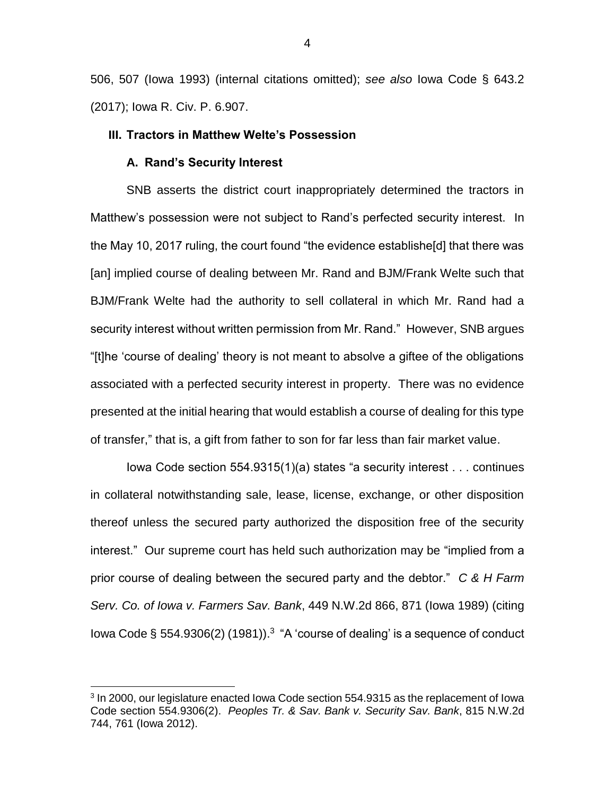506, 507 (Iowa 1993) (internal citations omitted); *see also* Iowa Code § 643.2 (2017); Iowa R. Civ. P. 6.907.

### **III. Tractors in Matthew Welte's Possession**

#### **A. Rand's Security Interest**

 $\overline{a}$ 

SNB asserts the district court inappropriately determined the tractors in Matthew's possession were not subject to Rand's perfected security interest. In the May 10, 2017 ruling, the court found "the evidence establishe[d] that there was [an] implied course of dealing between Mr. Rand and BJM/Frank Welte such that BJM/Frank Welte had the authority to sell collateral in which Mr. Rand had a security interest without written permission from Mr. Rand." However, SNB argues "[t]he 'course of dealing' theory is not meant to absolve a giftee of the obligations associated with a perfected security interest in property. There was no evidence presented at the initial hearing that would establish a course of dealing for this type of transfer," that is, a gift from father to son for far less than fair market value.

Iowa Code section 554.9315(1)(a) states "a security interest . . . continues in collateral notwithstanding sale, lease, license, exchange, or other disposition thereof unless the secured party authorized the disposition free of the security interest." Our supreme court has held such authorization may be "implied from a prior course of dealing between the secured party and the debtor." *C & H Farm Serv. Co. of Iowa v. Farmers Sav. Bank*, 449 N.W.2d 866, 871 (Iowa 1989) (citing lowa Code § 554.9306(2) (1981)).<sup>3</sup> "A 'course of dealing' is a sequence of conduct

 $3$  In 2000, our legislature enacted Iowa Code section 554.9315 as the replacement of Iowa Code section 554.9306(2). *Peoples Tr. & Sav. Bank v. Security Sav. Bank*, 815 N.W.2d 744, 761 (Iowa 2012).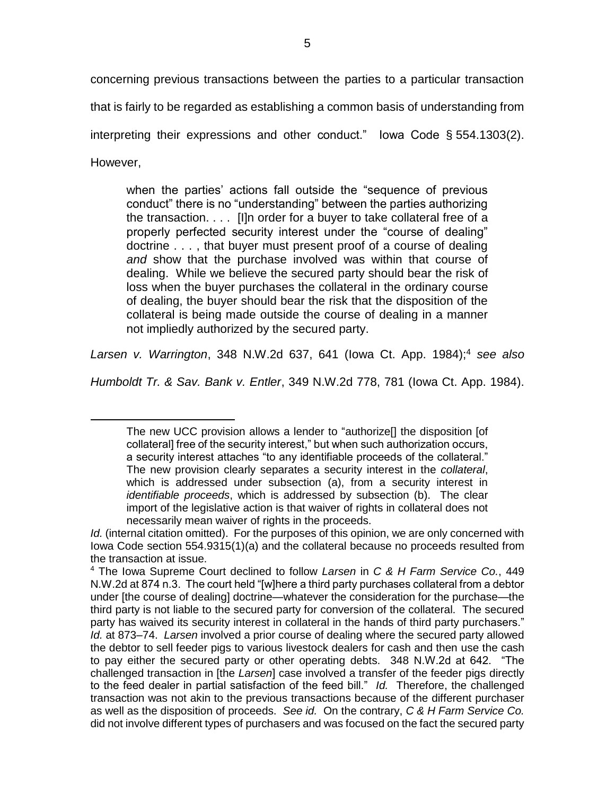concerning previous transactions between the parties to a particular transaction that is fairly to be regarded as establishing a common basis of understanding from interpreting their expressions and other conduct." Iowa Code § 554.1303(2). However,

when the parties' actions fall outside the "sequence of previous conduct" there is no "understanding" between the parties authorizing the transaction. . . . [I]n order for a buyer to take collateral free of a properly perfected security interest under the "course of dealing" doctrine . . . , that buyer must present proof of a course of dealing *and* show that the purchase involved was within that course of dealing. While we believe the secured party should bear the risk of loss when the buyer purchases the collateral in the ordinary course of dealing, the buyer should bear the risk that the disposition of the collateral is being made outside the course of dealing in a manner not impliedly authorized by the secured party.

*Larsen v. Warrington*, 348 N.W.2d 637, 641 (Iowa Ct. App. 1984);<sup>4</sup> *see also*

*Humboldt Tr. & Sav. Bank v. Entler*, 349 N.W.2d 778, 781 (Iowa Ct. App. 1984).

 $\overline{a}$ 

The new UCC provision allows a lender to "authorize[] the disposition [of collateral] free of the security interest," but when such authorization occurs, a security interest attaches "to any identifiable proceeds of the collateral." The new provision clearly separates a security interest in the *collateral*, which is addressed under subsection (a), from a security interest in *identifiable proceeds*, which is addressed by subsection (b). The clear import of the legislative action is that waiver of rights in collateral does not necessarily mean waiver of rights in the proceeds.

*Id.* (internal citation omitted). For the purposes of this opinion, we are only concerned with Iowa Code section 554.9315(1)(a) and the collateral because no proceeds resulted from the transaction at issue.

<sup>4</sup> The Iowa Supreme Court declined to follow *Larsen* in *C & H Farm Service Co.*, 449 N.W.2d at 874 n.3. The court held "[w]here a third party purchases collateral from a debtor under [the course of dealing] doctrine—whatever the consideration for the purchase—the third party is not liable to the secured party for conversion of the collateral. The secured party has waived its security interest in collateral in the hands of third party purchasers." *Id.* at 873–74. *Larsen* involved a prior course of dealing where the secured party allowed the debtor to sell feeder pigs to various livestock dealers for cash and then use the cash to pay either the secured party or other operating debts. 348 N.W.2d at 642. "The challenged transaction in [the *Larsen*] case involved a transfer of the feeder pigs directly to the feed dealer in partial satisfaction of the feed bill." *Id.* Therefore, the challenged transaction was not akin to the previous transactions because of the different purchaser as well as the disposition of proceeds. *See id.* On the contrary, *C & H Farm Service Co.*  did not involve different types of purchasers and was focused on the fact the secured party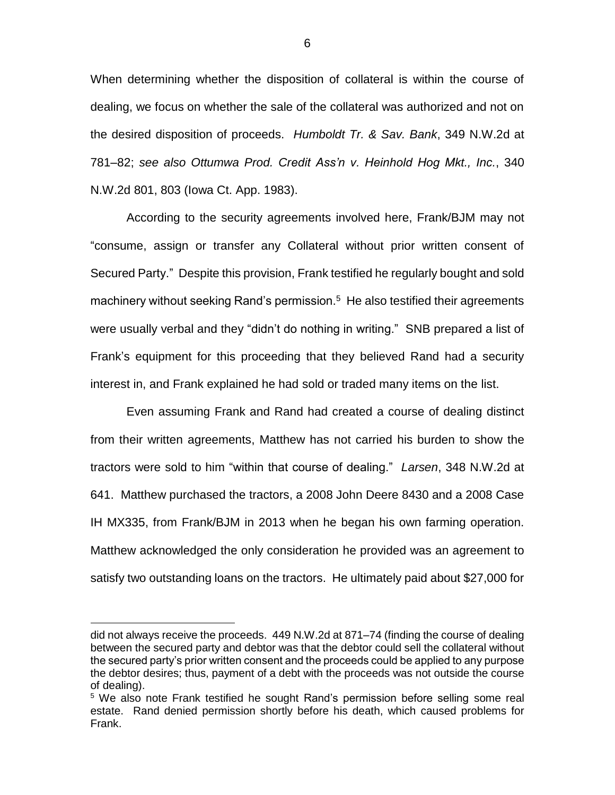When determining whether the disposition of collateral is within the course of dealing, we focus on whether the sale of the collateral was authorized and not on the desired disposition of proceeds. *Humboldt Tr. & Sav. Bank*, 349 N.W.2d at 781–82; *see also Ottumwa Prod. Credit Ass'n v. Heinhold Hog Mkt., Inc.*, 340 N.W.2d 801, 803 (Iowa Ct. App. 1983).

According to the security agreements involved here, Frank/BJM may not "consume, assign or transfer any Collateral without prior written consent of Secured Party." Despite this provision, Frank testified he regularly bought and sold machinery without seeking Rand's permission.<sup>5</sup> He also testified their agreements were usually verbal and they "didn't do nothing in writing." SNB prepared a list of Frank's equipment for this proceeding that they believed Rand had a security interest in, and Frank explained he had sold or traded many items on the list.

Even assuming Frank and Rand had created a course of dealing distinct from their written agreements, Matthew has not carried his burden to show the tractors were sold to him "within that course of dealing." *Larsen*, 348 N.W.2d at 641. Matthew purchased the tractors, a 2008 John Deere 8430 and a 2008 Case IH MX335, from Frank/BJM in 2013 when he began his own farming operation. Matthew acknowledged the only consideration he provided was an agreement to satisfy two outstanding loans on the tractors. He ultimately paid about \$27,000 for

 $\overline{a}$ 

did not always receive the proceeds. 449 N.W.2d at 871–74 (finding the course of dealing between the secured party and debtor was that the debtor could sell the collateral without the secured party's prior written consent and the proceeds could be applied to any purpose the debtor desires; thus, payment of a debt with the proceeds was not outside the course of dealing).

<sup>&</sup>lt;sup>5</sup> We also note Frank testified he sought Rand's permission before selling some real estate. Rand denied permission shortly before his death, which caused problems for Frank.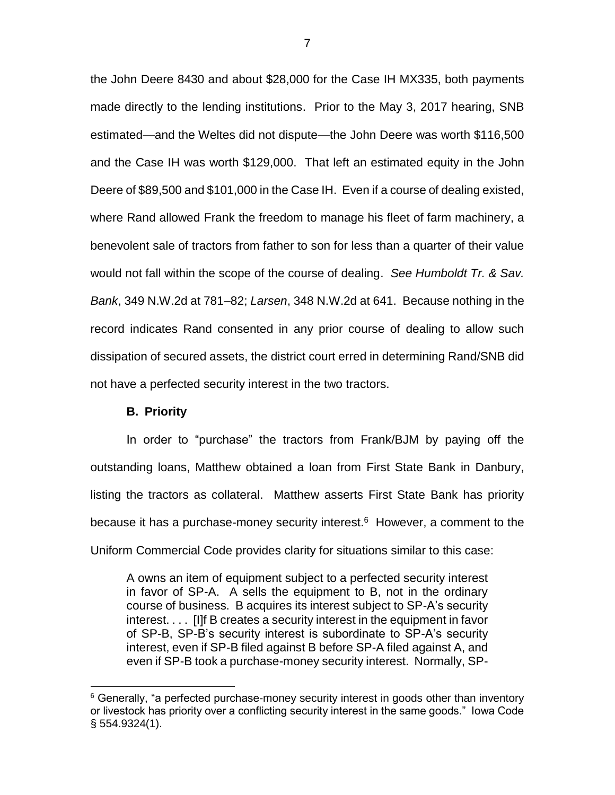the John Deere 8430 and about \$28,000 for the Case IH MX335, both payments made directly to the lending institutions. Prior to the May 3, 2017 hearing, SNB estimated—and the Weltes did not dispute—the John Deere was worth \$116,500 and the Case IH was worth \$129,000. That left an estimated equity in the John Deere of \$89,500 and \$101,000 in the Case IH. Even if a course of dealing existed, where Rand allowed Frank the freedom to manage his fleet of farm machinery, a benevolent sale of tractors from father to son for less than a quarter of their value would not fall within the scope of the course of dealing. *See Humboldt Tr. & Sav. Bank*, 349 N.W.2d at 781–82; *Larsen*, 348 N.W.2d at 641. Because nothing in the record indicates Rand consented in any prior course of dealing to allow such dissipation of secured assets, the district court erred in determining Rand/SNB did not have a perfected security interest in the two tractors.

#### **B. Priority**

 $\overline{a}$ 

In order to "purchase" the tractors from Frank/BJM by paying off the outstanding loans, Matthew obtained a loan from First State Bank in Danbury, listing the tractors as collateral. Matthew asserts First State Bank has priority because it has a purchase-money security interest.<sup>6</sup> However, a comment to the Uniform Commercial Code provides clarity for situations similar to this case:

A owns an item of equipment subject to a perfected security interest in favor of SP-A. A sells the equipment to B, not in the ordinary course of business. B acquires its interest subject to SP-A's security interest. . . . [I]f B creates a security interest in the equipment in favor of SP-B, SP-B's security interest is subordinate to SP-A's security interest, even if SP-B filed against B before SP-A filed against A, and even if SP-B took a purchase-money security interest. Normally, SP-

 $6$  Generally, "a perfected purchase-money security interest in goods other than inventory or livestock has priority over a conflicting security interest in the same goods." Iowa Code § 554.9324(1).